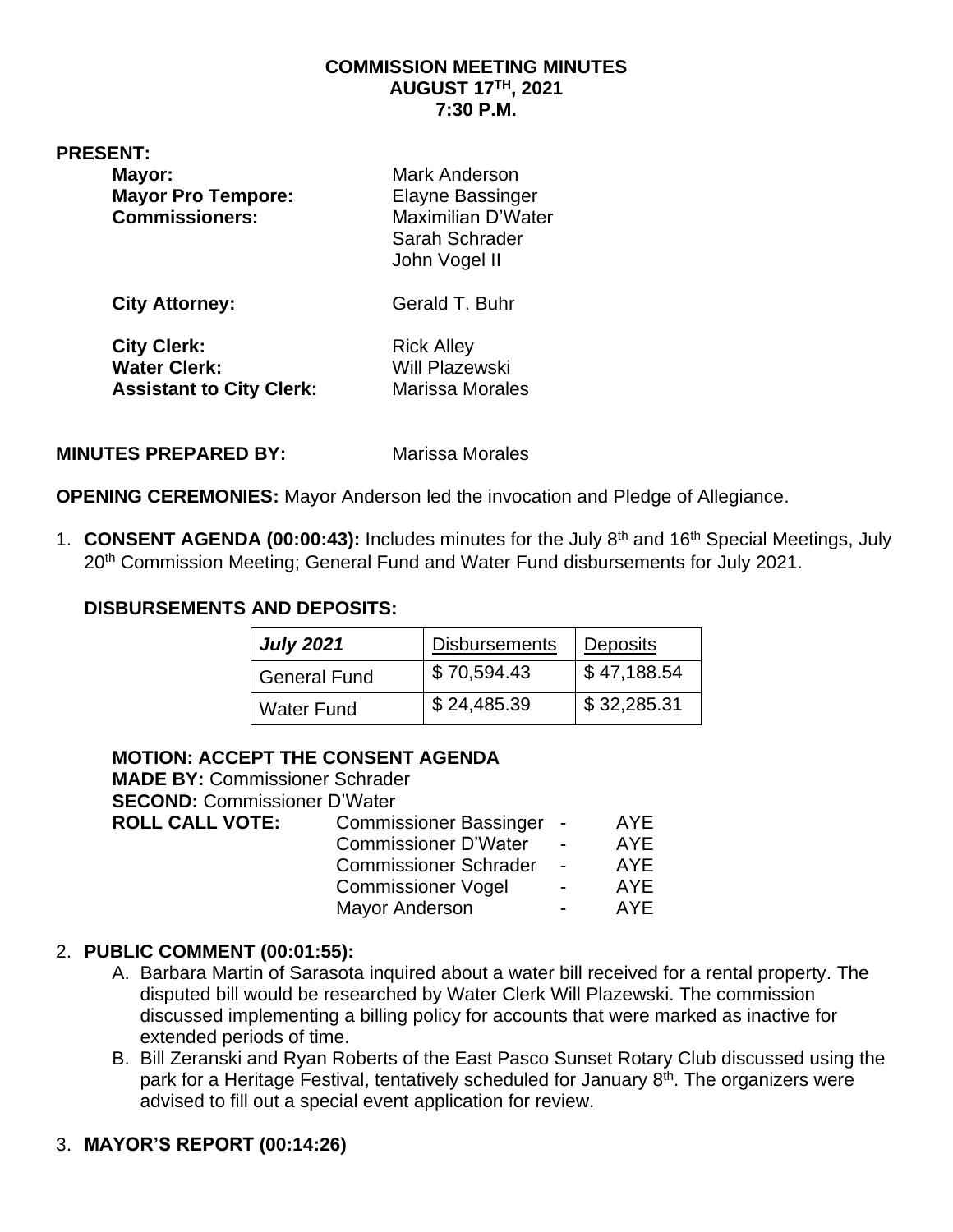#### **COMMISSION MEETING MINUTES AUGUST 17TH, 2021 7:30 P.M.**

**PRESENT:** 

| Mayor:                    | Mark Anderson             |
|---------------------------|---------------------------|
| <b>Mayor Pro Tempore:</b> | <b>Elayne Bassinger</b>   |
| <b>Commissioners:</b>     | <b>Maximilian D'Water</b> |
|                           | Sarah Schrader            |
|                           | John Vogel II             |
| <b>City Attorney:</b>     | Gerald T. Buhr            |

**City Clerk:** Rick Alley Water Clerk: Will Plazewski **Assistant to City Clerk:** Marissa Morales

**MINUTES PREPARED BY:** Marissa Morales

**OPENING CEREMONIES:** Mayor Anderson led the invocation and Pledge of Allegiance.

1. **CONSENT AGENDA (00:00:43):** Includes minutes for the July 8th and 16 th Special Meetings, July 20<sup>th</sup> Commission Meeting; General Fund and Water Fund disbursements for July 2021.

#### **DISBURSEMENTS AND DEPOSITS:**

| <b>July 2021</b>    | <b>Disbursements</b> | <b>Deposits</b> |
|---------------------|----------------------|-----------------|
| <b>General Fund</b> | \$70,594.43          | \$47,188.54     |
| <b>Water Fund</b>   | \$24,485.39          | \$32,285.31     |

#### **MOTION: ACCEPT THE CONSENT AGENDA**

| <b>MADE BY: Commissioner Schrader</b> |                               |                |            |
|---------------------------------------|-------------------------------|----------------|------------|
| <b>SECOND: Commissioner D'Water</b>   |                               |                |            |
| <b>ROLL CALL VOTE:</b>                | <b>Commissioner Bassinger</b> |                | <b>AYE</b> |
|                                       | <b>Commissioner D'Water</b>   | $\blacksquare$ | AYE        |
|                                       | <b>Commissioner Schrader</b>  | $\blacksquare$ | <b>AYE</b> |
|                                       | <b>Commissioner Vogel</b>     | $\blacksquare$ | AYE        |
|                                       | <b>Mayor Anderson</b>         |                | AYF        |
|                                       |                               |                |            |

#### 2. **PUBLIC COMMENT (00:01:55):**

- A. Barbara Martin of Sarasota inquired about a water bill received for a rental property. The disputed bill would be researched by Water Clerk Will Plazewski. The commission discussed implementing a billing policy for accounts that were marked as inactive for extended periods of time.
- B. Bill Zeranski and Ryan Roberts of the East Pasco Sunset Rotary Club discussed using the park for a Heritage Festival, tentatively scheduled for January  $8<sup>th</sup>$ . The organizers were advised to fill out a special event application for review.

## 3. **MAYOR'S REPORT (00:14:26)**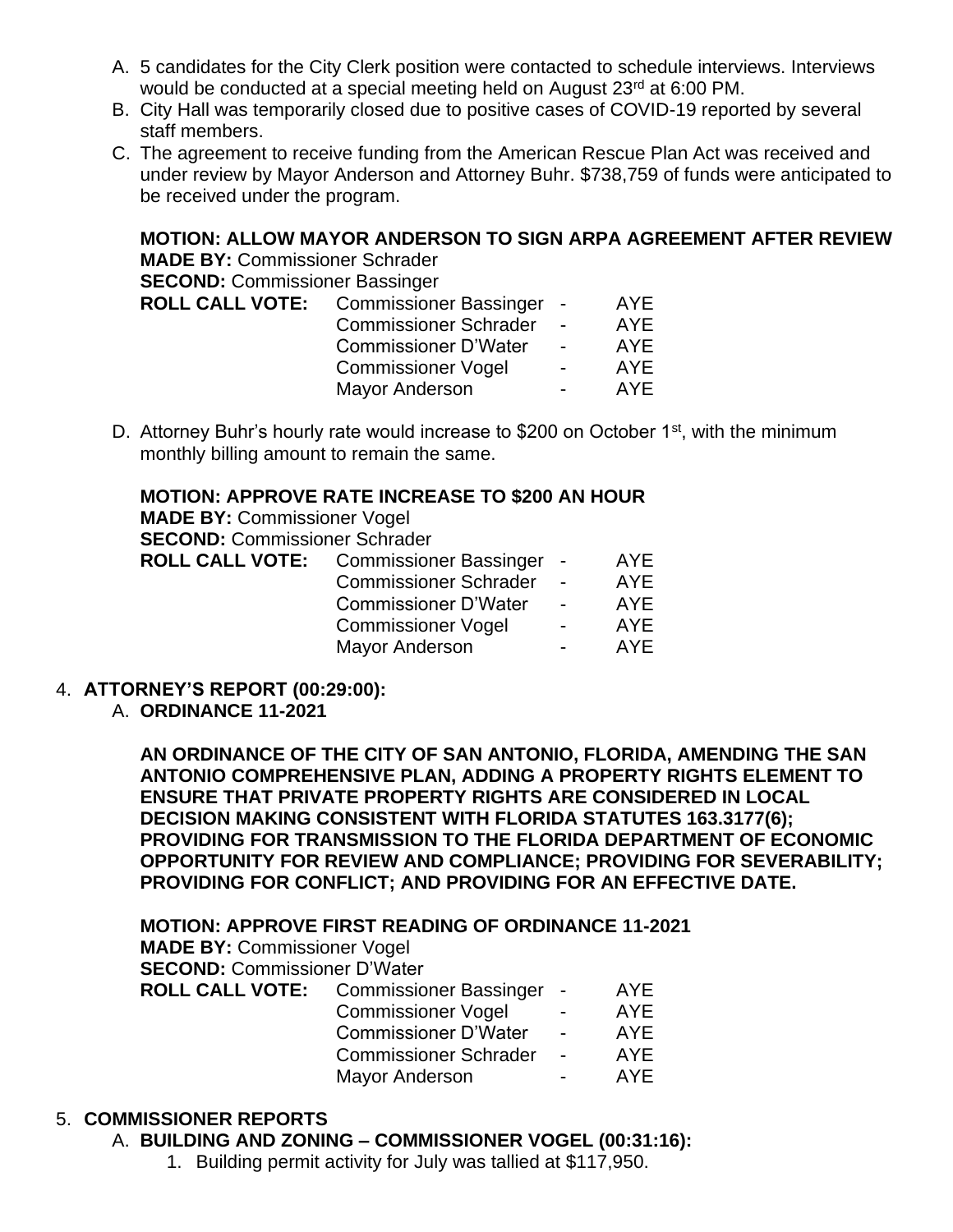- A. 5 candidates for the City Clerk position were contacted to schedule interviews. Interviews would be conducted at a special meeting held on August 23<sup>rd</sup> at 6:00 PM.
- B. City Hall was temporarily closed due to positive cases of COVID-19 reported by several staff members.
- C. The agreement to receive funding from the American Rescue Plan Act was received and under review by Mayor Anderson and Attorney Buhr. \$738,759 of funds were anticipated to be received under the program.

**MOTION: ALLOW MAYOR ANDERSON TO SIGN ARPA AGREEMENT AFTER REVIEW MADE BY:** Commissioner Schrader **SECOND:** Commissioner Bassinger **ROLL CALL VOTE:** Commissioner Bassinger - AYE Commissioner Schrader - AYE Commissioner D'Water - AYE Commissioner Vogel - AYE<br>Mayor Anderson - AYE Mayor Anderson **- AYE** 

D. Attorney Buhr's hourly rate would increase to \$200 on October 1<sup>st</sup>, with the minimum monthly billing amount to remain the same.

#### **MOTION: APPROVE RATE INCREASE TO \$200 AN HOUR**

**MADE BY:** Commissioner Vogel **SECOND:** Commissioner Schrader

| <b>ROLL CALL VOTE:</b> | Commissioner Bassinger -     |                          | AYE. |
|------------------------|------------------------------|--------------------------|------|
|                        | <b>Commissioner Schrader</b> | $\sim$                   | AYE. |
|                        | <b>Commissioner D'Water</b>  | $\sim$                   | AYF  |
|                        | <b>Commissioner Vogel</b>    | $\overline{\phantom{0}}$ | AYF. |
|                        | <b>Mayor Anderson</b>        | $\overline{\phantom{0}}$ | AYF. |
|                        |                              |                          |      |

## 4. **ATTORNEY'S REPORT (00:29:00):**

A. **ORDINANCE 11-2021**

**AN ORDINANCE OF THE CITY OF SAN ANTONIO, FLORIDA, AMENDING THE SAN ANTONIO COMPREHENSIVE PLAN, ADDING A PROPERTY RIGHTS ELEMENT TO ENSURE THAT PRIVATE PROPERTY RIGHTS ARE CONSIDERED IN LOCAL DECISION MAKING CONSISTENT WITH FLORIDA STATUTES 163.3177(6); PROVIDING FOR TRANSMISSION TO THE FLORIDA DEPARTMENT OF ECONOMIC OPPORTUNITY FOR REVIEW AND COMPLIANCE; PROVIDING FOR SEVERABILITY; PROVIDING FOR CONFLICT; AND PROVIDING FOR AN EFFECTIVE DATE.**

# **MOTION: APPROVE FIRST READING OF ORDINANCE 11-2021**

**MADE BY:** Commissioner Vogel **SECOND:** Commissioner D'Water

| <b>ROLL CALL VOTE:</b> | Commissioner Bassinger -     |                | AYE. |
|------------------------|------------------------------|----------------|------|
|                        | <b>Commissioner Vogel</b>    | $\blacksquare$ | AYE. |
|                        | <b>Commissioner D'Water</b>  | $\overline{a}$ | AYF. |
|                        | <b>Commissioner Schrader</b> | $\sim$         | AYE. |
|                        | <b>Mayor Anderson</b>        | $\sim$         | AYF. |
|                        |                              |                |      |

#### 5. **COMMISSIONER REPORTS**

- A. **BUILDING AND ZONING – COMMISSIONER VOGEL (00:31:16):**
	- 1. Building permit activity for July was tallied at \$117,950.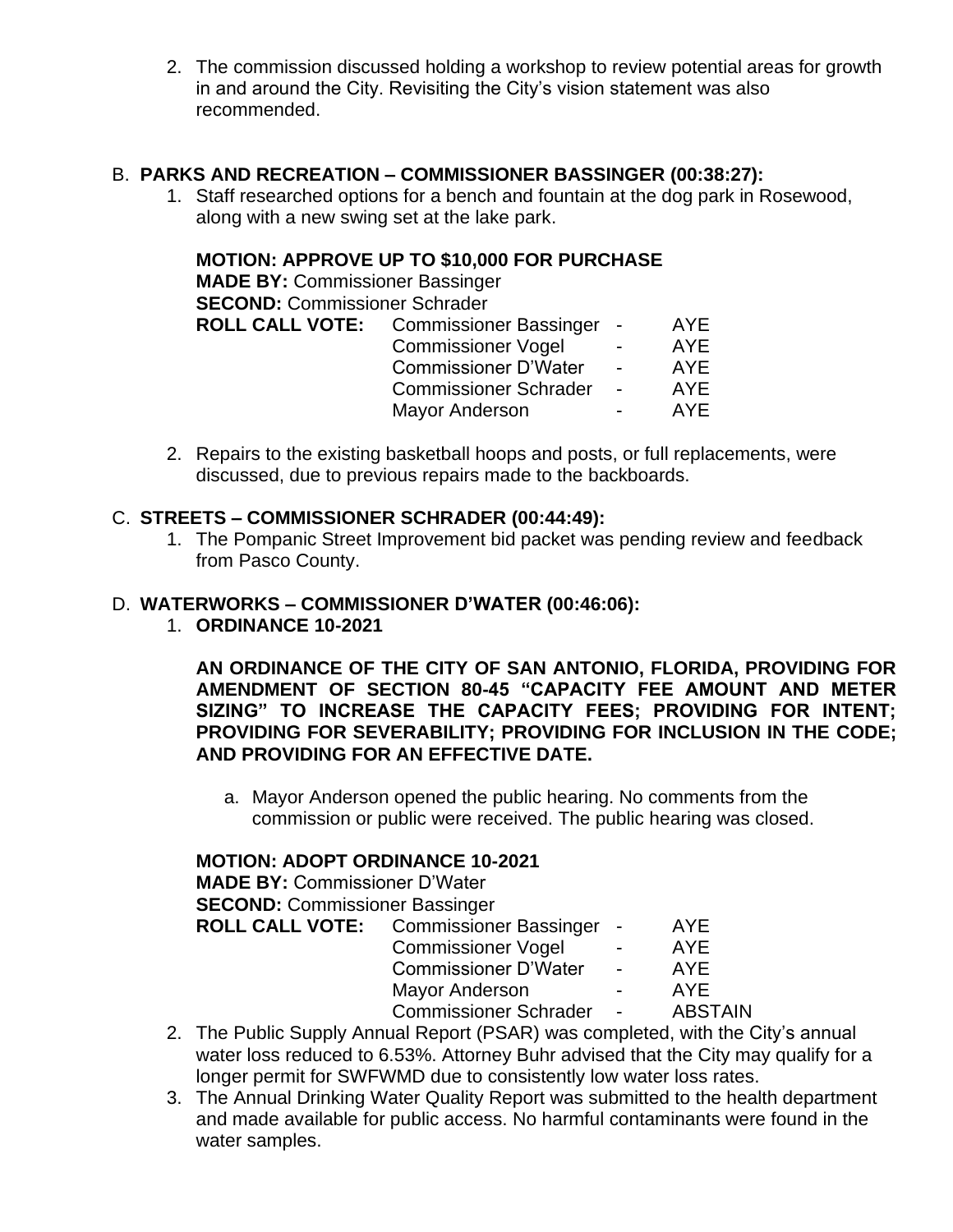2. The commission discussed holding a workshop to review potential areas for growth in and around the City. Revisiting the City's vision statement was also recommended.

## B. **PARKS AND RECREATION – COMMISSIONER BASSINGER (00:38:27):**

1. Staff researched options for a bench and fountain at the dog park in Rosewood, along with a new swing set at the lake park.

## **MOTION: APPROVE UP TO \$10,000 FOR PURCHASE**

**MADE BY:** Commissioner Bassinger **SECOND:** Commissioner Schrader **ROLL CALL VOTE:** Commissioner Bassinger - AYE

| Ξt | <b>Commissioner Bassinger</b> |                          | AYE.       |
|----|-------------------------------|--------------------------|------------|
|    | <b>Commissioner Vogel</b>     | $\overline{\phantom{0}}$ | <b>AYE</b> |
|    | <b>Commissioner D'Water</b>   | $\overline{\phantom{0}}$ | AYE        |
|    | <b>Commissioner Schrader</b>  | $\overline{\phantom{0}}$ | AYE        |
|    | <b>Mayor Anderson</b>         |                          | AYE.       |
|    |                               |                          |            |

2. Repairs to the existing basketball hoops and posts, or full replacements, were discussed, due to previous repairs made to the backboards.

#### C. **STREETS – COMMISSIONER SCHRADER (00:44:49):**

1. The Pompanic Street Improvement bid packet was pending review and feedback from Pasco County.

#### D. **WATERWORKS – COMMISSIONER D'WATER (00:46:06):**

1. **ORDINANCE 10-2021**

**AN ORDINANCE OF THE CITY OF SAN ANTONIO, FLORIDA, PROVIDING FOR AMENDMENT OF SECTION 80-45 "CAPACITY FEE AMOUNT AND METER SIZING" TO INCREASE THE CAPACITY FEES; PROVIDING FOR INTENT; PROVIDING FOR SEVERABILITY; PROVIDING FOR INCLUSION IN THE CODE; AND PROVIDING FOR AN EFFECTIVE DATE.**

a. Mayor Anderson opened the public hearing. No comments from the commission or public were received. The public hearing was closed.

#### **MOTION: ADOPT ORDINANCE 10-2021**

**MADE BY:** Commissioner D'Water **SECOND:** Commissioner Bassinger **ROLL CALL VOTE:** Commissioner Bassinger - AYE Commissioner Vogel

| Commissioner voger           |                          | AYE            |
|------------------------------|--------------------------|----------------|
| Commissioner D'Water         | $\overline{\phantom{0}}$ | AYE            |
| Mayor Anderson               |                          | <b>AYE</b>     |
| <b>Commissioner Schrader</b> | $\blacksquare$           | <b>ABSTAIN</b> |

- 2. The Public Supply Annual Report (PSAR) was completed, with the City's annual water loss reduced to 6.53%. Attorney Buhr advised that the City may qualify for a longer permit for SWFWMD due to consistently low water loss rates.
- 3. The Annual Drinking Water Quality Report was submitted to the health department and made available for public access. No harmful contaminants were found in the water samples.